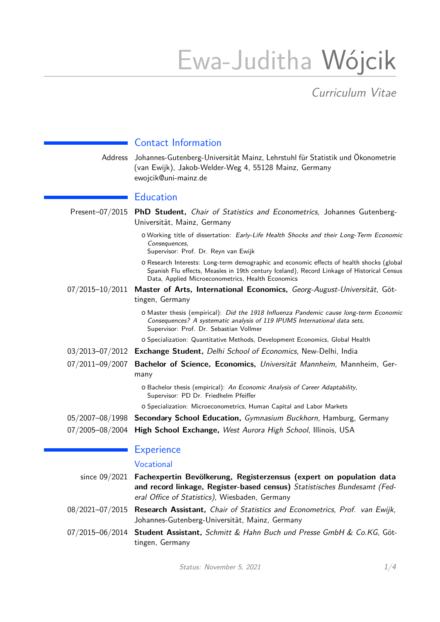# Ewa-Juditha Wójcik

Curriculum Vitae

|                 | <b>Contact Information</b>                                                                                                                                                                                                                   |
|-----------------|----------------------------------------------------------------------------------------------------------------------------------------------------------------------------------------------------------------------------------------------|
| Address         | Johannes-Gutenberg-Universität Mainz, Lehrstuhl für Statistik und Ökonometrie<br>(van Ewijk), Jakob-Welder-Weg 4, 55128 Mainz, Germany<br>ewojcik@uni-mainz.de                                                                               |
|                 | <b>Education</b>                                                                                                                                                                                                                             |
| Present-07/2015 | PhD Student, Chair of Statistics and Econometrics, Johannes Gutenberg-<br>Universität, Mainz, Germany                                                                                                                                        |
|                 | o Working title of dissertation: Early-Life Health Shocks and their Long-Term Economic<br>Consequences,<br>Supervisor: Prof. Dr. Reyn van Ewijk                                                                                              |
|                 | O Research Interests: Long-term demographic and economic effects of health shocks (global<br>Spanish Flu effects, Measles in 19th century Iceland), Record Linkage of Historical Census<br>Data, Applied Microeconometrics, Health Economics |
| 07/2015-10/2011 | Master of Arts, International Economics, Georg-August-Universität, Göt-<br>tingen, Germany                                                                                                                                                   |
|                 | O Master thesis (empirical): Did the 1918 Influenza Pandemic cause long-term Economic<br>Consequences? A systematic analysis of 119 IPUMS International data sets,<br>Supervisor: Prof. Dr. Sebastian Vollmer                                |
|                 | O Specialization: Quantitative Methods, Development Economics, Global Health                                                                                                                                                                 |
|                 | 03/2013-07/2012 Exchange Student, Delhi School of Economics, New-Delhi, India                                                                                                                                                                |
| 07/2011-09/2007 | Bachelor of Science, Economics, Universität Mannheim, Mannheim, Ger-<br>many                                                                                                                                                                 |
|                 | O Bachelor thesis (empirical): An Economic Analysis of Career Adaptability,<br>Supervisor: PD Dr. Friedhelm Pfeiffer                                                                                                                         |
|                 | O Specialization: Microeconometrics, Human Capital and Labor Markets                                                                                                                                                                         |
|                 | 05/2007-08/1998 Secondary School Education, Gymnasium Buckhorn, Hamburg, Germany                                                                                                                                                             |
| 07/2005-08/2004 | High School Exchange, West Aurora High School, Illinois, USA                                                                                                                                                                                 |
|                 | <b>Experience</b>                                                                                                                                                                                                                            |

# Vocational

| since $09/2021$ Fachexpertin Bevölkerung, Registerzensus (expert on population data<br>and record linkage, Register-based census) Statistisches Bundesamt (Fed-<br>eral Office of Statistics), Wiesbaden, Germany |
|-------------------------------------------------------------------------------------------------------------------------------------------------------------------------------------------------------------------|
| 08/2021–07/2015 Research Assistant, Chair of Statistics and Econometrics, Prof. van Ewijk,<br>Johannes-Gutenberg-Universität, Mainz, Germany                                                                      |
| 07/2015–06/2014 Student Assistant, Schmitt & Hahn Buch und Presse GmbH & Co.KG, Göt-<br>tingen, Germany                                                                                                           |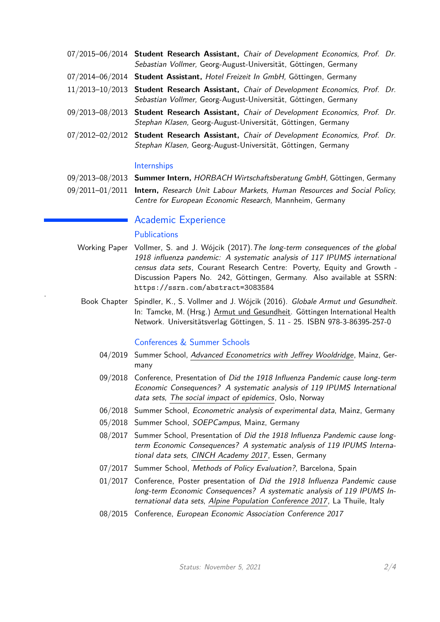| 07/2015-06/2014 Student Research Assistant, Chair of Development Economics, Prof. Dr.<br>Sebastian Vollmer, Georg-August-Universität, Göttingen, Germany |  |
|----------------------------------------------------------------------------------------------------------------------------------------------------------|--|
| 07/2014-06/2014 Student Assistant, Hotel Freizeit In GmbH, Göttingen, Germany                                                                            |  |
| 11/2013-10/2013 Student Research Assistant, Chair of Development Economics, Prof. Dr.<br>Sebastian Vollmer, Georg-August-Universität, Göttingen, Germany |  |
| 09/2013-08/2013 Student Research Assistant, Chair of Development Economics, Prof. Dr.<br>Stephan Klasen, Georg-August-Universität, Göttingen, Germany    |  |
| 07/2012-02/2012 Student Research Assistant, Chair of Development Economics, Prof. Dr.<br>Stephan Klasen, Georg-August-Universität, Göttingen, Germany    |  |

# Internships

| 09/2013–08/2013 Summer Intern, HORBACH Wirtschaftsberatung GmbH, Göttingen, Germany |  |  |  |  |  |
|-------------------------------------------------------------------------------------|--|--|--|--|--|
|-------------------------------------------------------------------------------------|--|--|--|--|--|

09/2011–01/2011 **Intern,** Research Unit Labour Markets, Human Resources and Social Policy, Centre for European Economic Research, Mannheim, Germany

# Academic Experience

# **Publications**

.

- Working Paper Vollmer, S. and J. Wójcik (2017).[T](http://www.uni-goettingen.de/en/67061.html)he long-term consequences of the global 1918 influenza pandemic: A systematic analysis of 117 IPUMS international census data sets, Courant Research Centre: Poverty, Equity and Growth - Discussion Papers No. 242, Göttingen, Germany. Also available at SSRN: <https://ssrn.com/abstract=3083584>
	- Book Chapter Spindler, K., S. Vollmer and J. Wójcik (2016). Globale Armut und Gesundheit. In: Tamcke, M. (Hrsg.) [Armut und Gesundheit.](https://doi.org/10.17875/gup2016-910) Göttingen International Health Network. Universitätsverlag Göttingen, S. 11 - 25. ISBN 978-3-86395-257-0

## Conferences & Summer Schools

- 04/2019 Summer School, [Advanced Econometrics with Jeffrey Wooldridge](https://www.statistics.economics.uni-mainz.de/summerschool2019/), Mainz, Germany
- 09/2018 Conference, Presentation of Did the 1918 Influenza Pandemic cause long-term Economic Consequences? A systematic analysis of 119 IPUMS International data sets, [The social impact of epidemics](https://www.pop.upenn.edu/announcement/social-impact-epidemics-workshop-marking-100-years-great-flu-epidemic-1918-0), Oslo, Norway
- 06/2018 Summer School, Econometric analysis of experimental data, Mainz, Germany
- 05/2018 Summer School, SOEPCampus, Mainz, Germany
- 08/2017 Summer School, Presentation of Did the 1918 Influenza Pandemic cause longterm Economic Consequences? A systematic analysis of 119 IPUMS International data sets, [CINCH Academy 2017](https://cinch.uni-due.de/events/summer-school/cinch-academy-2017/), Essen, Germany
- 07/2017 Summer School, Methods of Policy Evaluation?, Barcelona, Spain
- 01/2017 Conference, Poster presentation of Did the 1918 Influenza Pandemic cause long-term Economic Consequences? A systematic analysis of 119 IPUMS In-ternational data sets, [Alpine Population Conference 2017](http://www.population-europe.eu/event/3rd-alpine-population-conference-alp-pop-2017-la-thuile-aosta-valley-italy-january-15-18-2017), La Thuile, Italy
- 08/2015 Conference, European Economic Association Conference 2017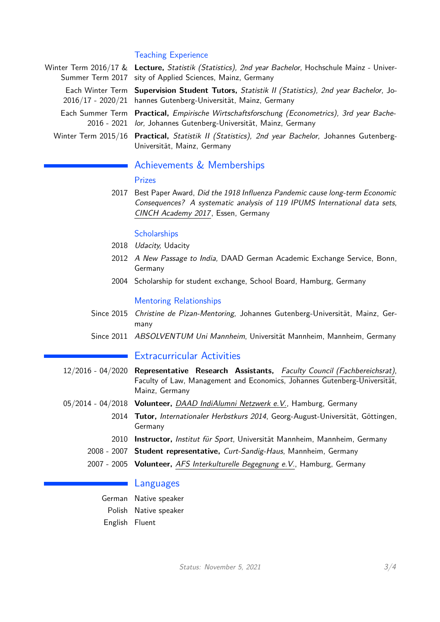# Teaching Experience

| Winter Term 2016/17 & Lecture, Statistik (Statistics), 2nd year Bachelor, Hochschule Mainz - Univer-<br>Summer Term 2017 sity of Applied Sciences, Mainz, Germany |
|-------------------------------------------------------------------------------------------------------------------------------------------------------------------|
| Each Winter Term Supervision Student Tutors, Statistik II (Statistics), 2nd year Bachelor, Jo-<br>2016/17 - 2020/21 hannes Gutenberg-Universität, Mainz, Germany  |
| Each Summer Term Practical, Empirische Wirtschaftsforschung (Econometrics), 3rd year Bache-<br>2016 - 2021 lor, Johannes Gutenberg-Universität, Mainz, Germany    |
| Winter Term 2015/16 Practical, Statistik II (Statistics), 2nd year Bachelor, Johannes Gutenberg-<br>Universität, Mainz, Germany                                   |

# Achievements & Memberships

## Prizes

2017 Best Paper Award, Did the 1918 Influenza Pandemic cause long-term Economic Consequences? A systematic analysis of 119 IPUMS International data sets, [CINCH Academy 2017](https://aheblog.com/2017/09/12/meeting-round-up-cinch-academy-2017/), Essen, Germany

## **Scholarships**

- 2018 Udacity, Udacity
- 2012 A New Passage to India, DAAD German Academic Exchange Service, Bonn, Germany
- 2004 Scholarship for student exchange, School Board, Hamburg, Germany

#### Mentoring Relationships

- Since 2015 Christine de Pizan-Mentoring, Johannes Gutenberg-Universität, Mainz, Germany
- Since 2011 ABSOLVENTUM Uni Mannheim, Universität Mannheim, Mannheim, Germany

# Extracurricular Activities

- 12/2016 04/2020 **Representative Research Assistants,** [Faculty Council \(Fachbereichsrat\)](http://www.rewi.uni-mainz.de/464_DEU_HTML.php), Faculty of Law, Management and Economics, Johannes Gutenberg-Universität, Mainz, Germany
- 05/2014 04/2018 **Volunteer,** [DAAD IndiAlumni Netzwerk e.V.](www.http://indialumni.de/), Hamburg, Germany
	- 2014 **Tutor,** Internationaler Herbstkurs 2014, Georg-August-Universität, Göttingen, Germany
	- 2010 **Instructor,** Institut für Sport, Universität Mannheim, Mannheim, Germany
	- 2008 2007 **Student representative,** Curt-Sandig-Haus, Mannheim, Germany
	- 2007 2005 **Volunteer,** [AFS Interkulturelle Begegnung e.V.](https://www.afs.de/), Hamburg, Germany

# ■ Languages

German Native speaker Polish Native speaker English Fluent